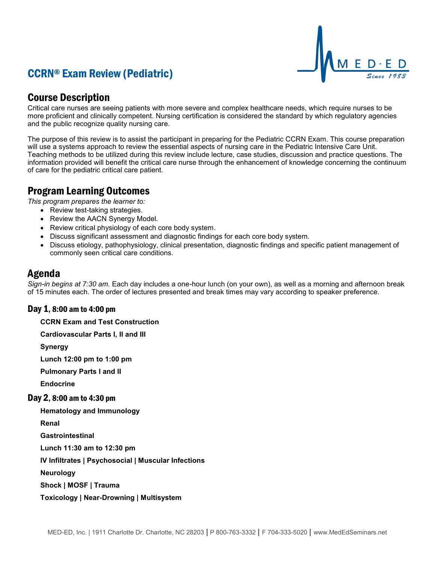



## Course Description

Critical care nurses are seeing patients with more severe and complex healthcare needs, which require nurses to be more proficient and clinically competent. Nursing certification is considered the standard by which regulatory agencies and the public recognize quality nursing care.

The purpose of this review is to assist the participant in preparing for the Pediatric CCRN Exam. This course preparation will use a systems approach to review the essential aspects of nursing care in the Pediatric Intensive Care Unit. Teaching methods to be utilized during this review include lecture, case studies, discussion and practice questions. The information provided will benefit the critical care nurse through the enhancement of knowledge concerning the continuum of care for the pediatric critical care patient.

## Program Learning Outcomes

*This program prepares the learner to:*

- Review test-taking strategies.
- Review the AACN Synergy Model.
- Review critical physiology of each core body system.
- Discuss significant assessment and diagnostic findings for each core body system.
- Discuss etiology, pathophysiology, clinical presentation, diagnostic findings and specific patient management of commonly seen critical care conditions.

### Agenda

*Sign-in begins at 7:30 am.* Each day includes a one-hour lunch (on your own), as well as a morning and afternoon break of 15 minutes each. The order of lectures presented and break times may vary according to speaker preference.

#### Day 1, 8:00 am to 4:00 pm

**CCRN Exam and Test Construction**

**Cardiovascular Parts I, II and III**

**Synergy**

**Lunch 12:00 pm to 1:00 pm**

**Pulmonary Parts I and II**

**Endocrine**

#### Day 2, 8:00 am to 4:30 pm

**Hematology and Immunology**

**Renal**

**Gastrointestinal**

**Lunch 11:30 am to 12:30 pm**

**IV Infiltrates | Psychosocial | Muscular Infections**

**Neurology**

**Shock | MOSF | Trauma**

**Toxicology | Near-Drowning | Multisystem**